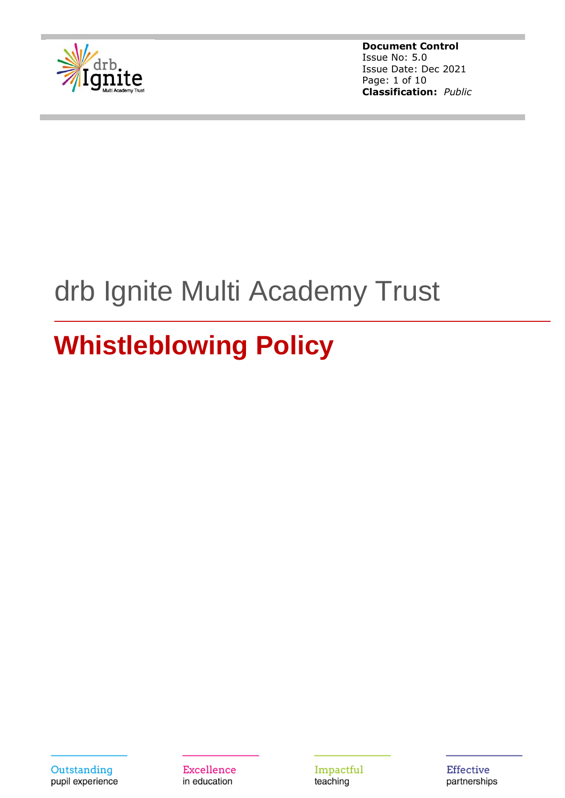

**Document Control** Issue No: 5.0 Issue Date: Dec 2021 Page: 1 of 10 **Classification:** *Public*

# drb Ignite Multi Academy Trust

## **Whistleblowing Policy**

**Excellence** in education

Impactful teaching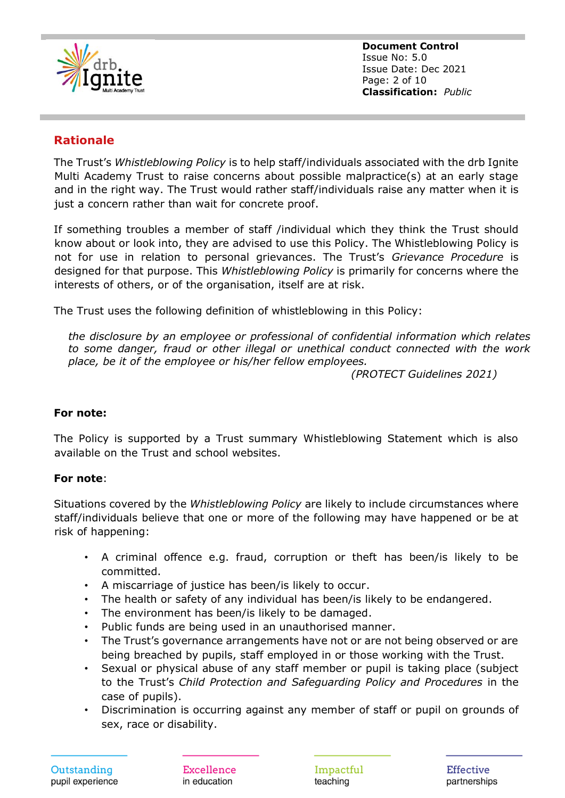

**Document Control** Issue No: 5.0 Issue Date: Dec 2021 Page: 2 of 10 **Classification:** *Public*

## **Rationale**

The Trust's *Whistleblowing Policy* is to help staff/individuals associated with the drb Ignite Multi Academy Trust to raise concerns about possible malpractice(s) at an early stage and in the right way. The Trust would rather staff/individuals raise any matter when it is just a concern rather than wait for concrete proof.

If something troubles a member of staff /individual which they think the Trust should know about or look into, they are advised to use this Policy. The Whistleblowing Policy is not for use in relation to personal grievances. The Trust's *Grievance Procedure* is designed for that purpose. This *Whistleblowing Policy* is primarily for concerns where the interests of others, or of the organisation, itself are at risk.

The Trust uses the following definition of whistleblowing in this Policy:

*the disclosure by an employee or professional of confidential information which relates to some danger, fraud or other illegal or unethical conduct connected with the work place, be it of the employee or his/her fellow employees.*

 *(PROTECT Guidelines 2021)*

#### **For note:**

The Policy is supported by a Trust summary Whistleblowing Statement which is also available on the Trust and school websites.

#### **For note**:

Situations covered by the *Whistleblowing Policy* are likely to include circumstances where staff/individuals believe that one or more of the following may have happened or be at risk of happening:

- A criminal offence e.g. fraud, corruption or theft has been/is likely to be committed.
- A miscarriage of justice has been/is likely to occur.
- The health or safety of any individual has been/is likely to be endangered.
- The environment has been/is likely to be damaged.
- Public funds are being used in an unauthorised manner.
- The Trust's governance arrangements have not or are not being observed or are being breached by pupils, staff employed in or those working with the Trust.
- Sexual or physical abuse of any staff member or pupil is taking place (subject to the Trust's *Child Protection and Safeguarding Policy and Procedures* in the case of pupils).
- Discrimination is occurring against any member of staff or pupil on grounds of sex, race or disability.

Excellence in education

Impactful teaching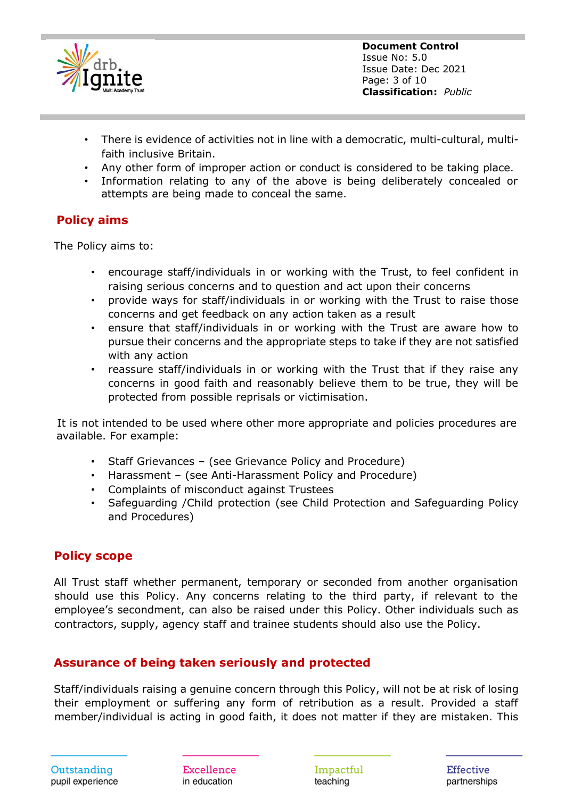

**Document Control** Issue No: 5.0 Issue Date: Dec 2021 Page: 3 of 10 **Classification:** *Public*

- There is evidence of activities not in line with a democratic, multi-cultural, multifaith inclusive Britain.
- Any other form of improper action or conduct is considered to be taking place.
- Information relating to any of the above is being deliberately concealed or attempts are being made to conceal the same.

#### **Policy aims**

The Policy aims to:

- encourage staff/individuals in or working with the Trust, to feel confident in raising serious concerns and to question and act upon their concerns
- provide ways for staff/individuals in or working with the Trust to raise those concerns and get feedback on any action taken as a result
- ensure that staff/individuals in or working with the Trust are aware how to pursue their concerns and the appropriate steps to take if they are not satisfied with any action
- reassure staff/individuals in or working with the Trust that if they raise any concerns in good faith and reasonably believe them to be true, they will be protected from possible reprisals or victimisation.

 It is not intended to be used where other more appropriate and policies procedures are available. For example:

- Staff Grievances (see Grievance Policy and Procedure)
- Harassment (see Anti-Harassment Policy and Procedure)
- Complaints of misconduct against Trustees
- Safeguarding /Child protection (see Child Protection and Safeguarding Policy and Procedures)

#### **Policy scope**

All Trust staff whether permanent, temporary or seconded from another organisation should use this Policy. Any concerns relating to the third party, if relevant to the employee's secondment, can also be raised under this Policy. Other individuals such as contractors, supply, agency staff and trainee students should also use the Policy.

#### **Assurance of being taken seriously and protected**

Staff/individuals raising a genuine concern through this Policy, will not be at risk of losing their employment or suffering any form of retribution as a result. Provided a staff member/individual is acting in good faith, it does not matter if they are mistaken. This

Excellence in education

Impactful teaching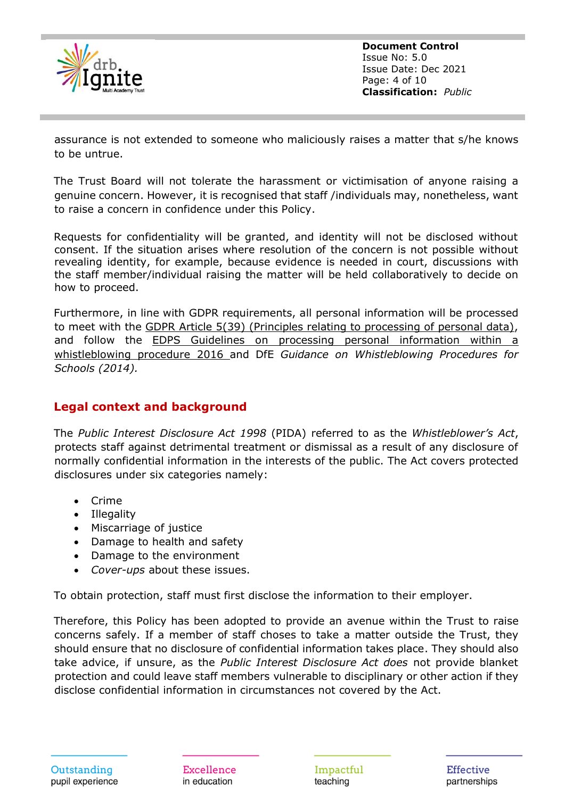

**Document Control** Issue No: 5.0 Issue Date: Dec 2021 Page: 4 of 10 **Classification:** *Public*

assurance is not extended to someone who maliciously raises a matter that s/he knows to be untrue.

The Trust Board will not tolerate the harassment or victimisation of anyone raising a genuine concern. However, it is recognised that staff /individuals may, nonetheless, want to raise a concern in confidence under this Policy.

Requests for confidentiality will be granted, and identity will not be disclosed without consent. If the situation arises where resolution of the concern is not possible without revealing identity, for example, because evidence is needed in court, discussions with the staff member/individual raising the matter will be held collaboratively to decide on how to proceed.

Furthermore, in line with GDPR requirements, all personal information will be processed to meet with the GDPR Article 5(39) [\(Principles relating to processing of personal data\),](https://gdpr-info.eu/recitals/no-39/) and follow the **EDPS** Guidelines on processing personal information within a [whistleblowing procedure](https://edps.europa.eu/sites/edp/files/publication/16-07-18_whistleblowing_guidelines_en.pdf) 2016 and DfE *Guidance on Whistleblowing Procedures for Schools (2014).*

## **Legal context and background**

The *Public Interest Disclosure Act 1998* (PIDA) referred to as the *Whistleblower's Act*, protects staff against detrimental treatment or dismissal as a result of any disclosure of normally confidential information in the interests of the public. The Act covers protected disclosures under six categories namely:

- Crime
- Illegality
- Miscarriage of justice
- Damage to health and safety
- Damage to the environment
- *Cover-ups* about these issues.

To obtain protection, staff must first disclose the information to their employer.

Therefore, this Policy has been adopted to provide an avenue within the Trust to raise concerns safely. If a member of staff choses to take a matter outside the Trust, they should ensure that no disclosure of confidential information takes place. They should also take advice, if unsure, as the *Public Interest Disclosure Act does* not provide blanket protection and could leave staff members vulnerable to disciplinary or other action if they disclose confidential information in circumstances not covered by the Act.

Excellence in education

Impactful teaching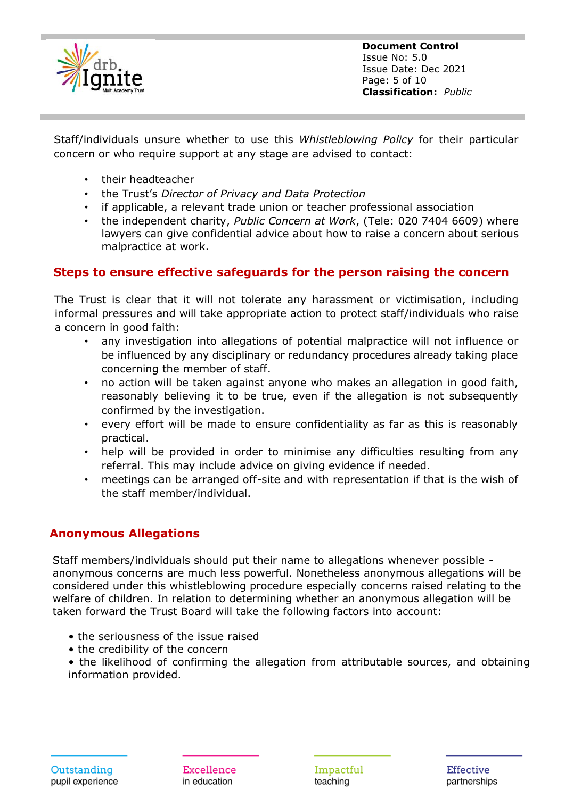

**Document Control** Issue No: 5.0 Issue Date: Dec 2021 Page: 5 of 10 **Classification:** *Public*

Staff/individuals unsure whether to use this *Whistleblowing Policy* for their particular concern or who require support at any stage are advised to contact:

- their headteacher
- the Trust's *Director of Privacy and Data Protection*
- if applicable, a relevant trade union or teacher professional association
- the independent charity, *Public Concern at Work*, (Tele: 020 7404 6609) where lawyers can give confidential advice about how to raise a concern about serious malpractice at work.

#### **Steps to ensure effective safeguards for the person raising the concern**

The Trust is clear that it will not tolerate any harassment or victimisation, including informal pressures and will take appropriate action to protect staff/individuals who raise a concern in good faith:

- any investigation into allegations of potential malpractice will not influence or be influenced by any disciplinary or redundancy procedures already taking place concerning the member of staff.
- no action will be taken against anyone who makes an allegation in good faith, reasonably believing it to be true, even if the allegation is not subsequently confirmed by the investigation.
- every effort will be made to ensure confidentiality as far as this is reasonably practical.
- help will be provided in order to minimise any difficulties resulting from any referral. This may include advice on giving evidence if needed.
- meetings can be arranged off-site and with representation if that is the wish of the staff member/individual.

## **Anonymous Allegations**

 Staff members/individuals should put their name to allegations whenever possible anonymous concerns are much less powerful. Nonetheless anonymous allegations will be considered under this whistleblowing procedure especially concerns raised relating to the welfare of children. In relation to determining whether an anonymous allegation will be taken forward the Trust Board will take the following factors into account:

- the seriousness of the issue raised
- the credibility of the concern

• the likelihood of confirming the allegation from attributable sources, and obtaining information provided.

Excellence in education

Impactful teaching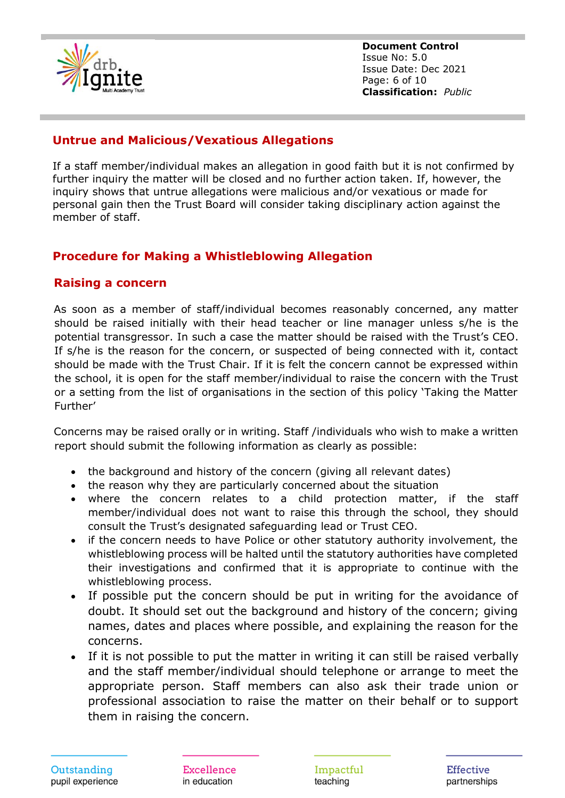

**Document Control** Issue No: 5.0 Issue Date: Dec 2021 Page: 6 of 10 **Classification:** *Public*

### **Untrue and Malicious/Vexatious Allegations**

 If a staff member/individual makes an allegation in good faith but it is not confirmed by further inquiry the matter will be closed and no further action taken. If, however, the inquiry shows that untrue allegations were malicious and/or vexatious or made for personal gain then the Trust Board will consider taking disciplinary action against the member of staff.

## **Procedure for Making a Whistleblowing Allegation**

#### **Raising a concern**

As soon as a member of staff/individual becomes reasonably concerned, any matter should be raised initially with their head teacher or line manager unless s/he is the potential transgressor. In such a case the matter should be raised with the Trust's CEO. If s/he is the reason for the concern, or suspected of being connected with it, contact should be made with the Trust Chair. If it is felt the concern cannot be expressed within the school, it is open for the staff member/individual to raise the concern with the Trust or a setting from the list of organisations in the section of this policy 'Taking the Matter Further'

Concerns may be raised orally or in writing. Staff /individuals who wish to make a written report should submit the following information as clearly as possible:

- the background and history of the concern (giving all relevant dates)
- the reason why they are particularly concerned about the situation
- where the concern relates to a child protection matter, if the staff member/individual does not want to raise this through the school, they should consult the Trust's designated safeguarding lead or Trust CEO.
- if the concern needs to have Police or other statutory authority involvement, the whistleblowing process will be halted until the statutory authorities have completed their investigations and confirmed that it is appropriate to continue with the whistleblowing process.
- If possible put the concern should be put in writing for the avoidance of doubt. It should set out the background and history of the concern; giving names, dates and places where possible, and explaining the reason for the concerns.
- If it is not possible to put the matter in writing it can still be raised verbally and the staff member/individual should telephone or arrange to meet the appropriate person. Staff members can also ask their trade union or professional association to raise the matter on their behalf or to support them in raising the concern.

Excellence in education

Impactful teaching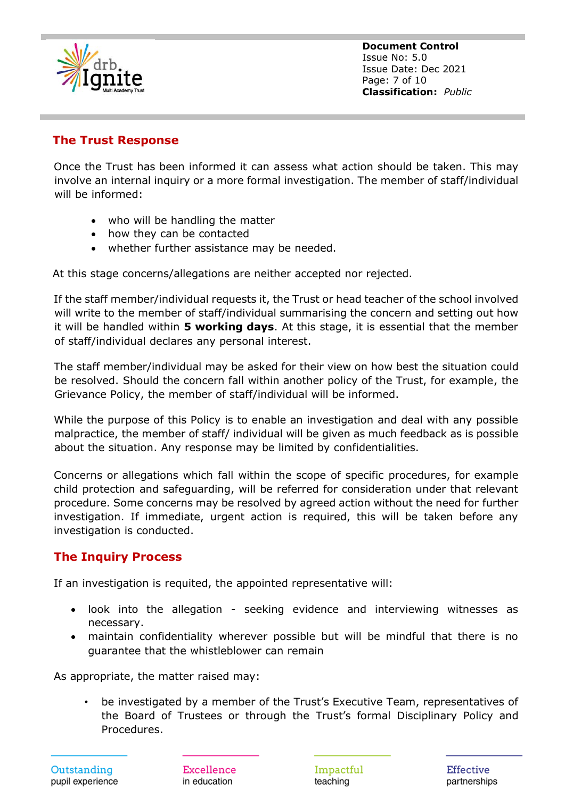

**Document Control** Issue No: 5.0 Issue Date: Dec 2021 Page: 7 of 10 **Classification:** *Public*

## **The Trust Response**

Once the Trust has been informed it can assess what action should be taken. This may involve an internal inquiry or a more formal investigation. The member of staff/individual will be informed:

- who will be handling the matter
- how they can be contacted
- whether further assistance may be needed.

At this stage concerns/allegations are neither accepted nor rejected.

If the staff member/individual requests it, the Trust or head teacher of the school involved will write to the member of staff/individual summarising the concern and setting out how it will be handled within **5 working days**. At this stage, it is essential that the member of staff/individual declares any personal interest.

The staff member/individual may be asked for their view on how best the situation could be resolved. Should the concern fall within another policy of the Trust, for example, the Grievance Policy, the member of staff/individual will be informed.

While the purpose of this Policy is to enable an investigation and deal with any possible malpractice, the member of staff/ individual will be given as much feedback as is possible about the situation. Any response may be limited by confidentialities.

Concerns or allegations which fall within the scope of specific procedures, for example child protection and safeguarding, will be referred for consideration under that relevant procedure. Some concerns may be resolved by agreed action without the need for further investigation. If immediate, urgent action is required, this will be taken before any investigation is conducted.

## **The Inquiry Process**

If an investigation is requited, the appointed representative will:

- look into the allegation seeking evidence and interviewing witnesses as necessary.
- maintain confidentiality wherever possible but will be mindful that there is no guarantee that the whistleblower can remain

As appropriate, the matter raised may:

• be investigated by a member of the Trust's Executive Team, representatives of the Board of Trustees or through the Trust's formal Disciplinary Policy and Procedures.

Excellence in education

Impactful teaching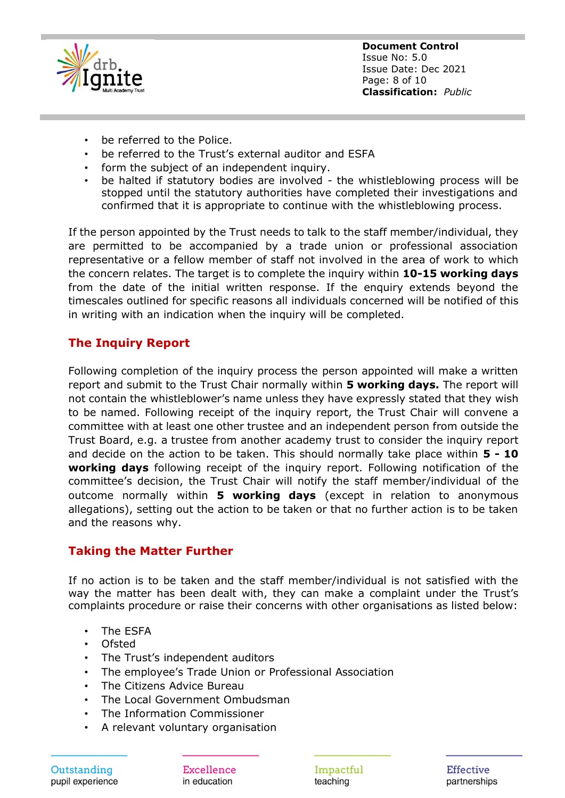

- be referred to the Police.
- be referred to the Trust's external auditor and ESFA
- form the subject of an independent inquiry.
- be halted if statutory bodies are involved the whistleblowing process will be stopped until the statutory authorities have completed their investigations and confirmed that it is appropriate to continue with the whistleblowing process.

If the person appointed by the Trust needs to talk to the staff member/individual, they are permitted to be accompanied by a trade union or professional association representative or a fellow member of staff not involved in the area of work to which the concern relates. The target is to complete the inquiry within **10-15 working days** from the date of the initial written response. If the enquiry extends beyond the timescales outlined for specific reasons all individuals concerned will be notified of this in writing with an indication when the inquiry will be completed.

## **The Inquiry Report**

Following completion of the inquiry process the person appointed will make a written report and submit to the Trust Chair normally within **5 working days.** The report will not contain the whistleblower's name unless they have expressly stated that they wish to be named. Following receipt of the inquiry report, the Trust Chair will convene a committee with at least one other trustee and an independent person from outside the Trust Board, e.g. a trustee from another academy trust to consider the inquiry report and decide on the action to be taken. This should normally take place within **5 - 10 working days** following receipt of the inquiry report. Following notification of the committee's decision, the Trust Chair will notify the staff member/individual of the outcome normally within **5 working days** (except in relation to anonymous allegations), setting out the action to be taken or that no further action is to be taken and the reasons why.

#### **Taking the Matter Further**

If no action is to be taken and the staff member/individual is not satisfied with the way the matter has been dealt with, they can make a complaint under the Trust's complaints procedure or raise their concerns with other organisations as listed below:

- The ESFA
- Ofsted
- The Trust's independent auditors
- The employee's Trade Union or Professional Association
- The Citizens Advice Bureau
- The Local Government Ombudsman
- The Information Commissioner
- A relevant voluntary organisation

Outstanding pupil experience

Excellence in education

Impactful teaching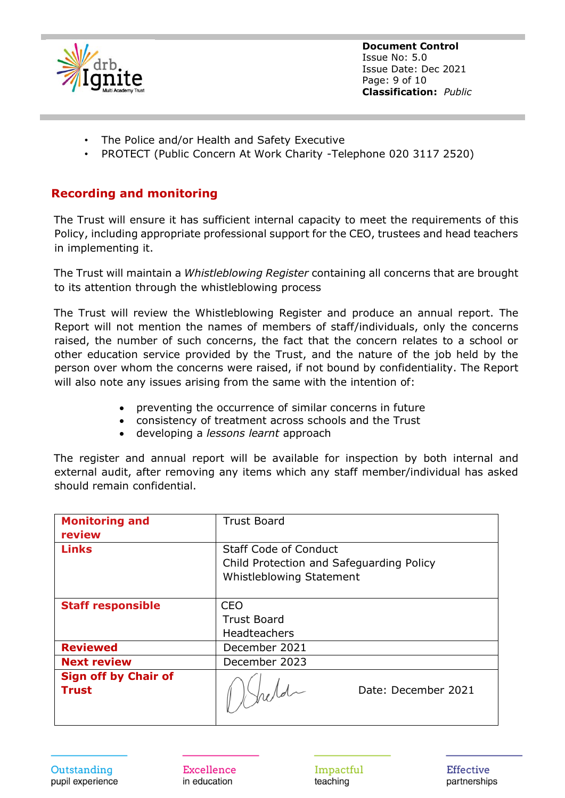

**Document Control** Issue No: 5.0 Issue Date: Dec 2021 Page: 9 of 10 **Classification:** *Public*

- The Police and/or Health and Safety Executive
- PROTECT (Public Concern At Work Charity -Telephone 020 3117 2520)

#### **Recording and monitoring**

The Trust will ensure it has sufficient internal capacity to meet the requirements of this Policy, including appropriate professional support for the CEO, trustees and head teachers in implementing it.

The Trust will maintain a *Whistleblowing Register* containing all concerns that are brought to its attention through the whistleblowing process

The Trust will review the Whistleblowing Register and produce an annual report. The Report will not mention the names of members of staff/individuals, only the concerns raised, the number of such concerns, the fact that the concern relates to a school or other education service provided by the Trust, and the nature of the job held by the person over whom the concerns were raised, if not bound by confidentiality. The Report will also note any issues arising from the same with the intention of:

- preventing the occurrence of similar concerns in future
- consistency of treatment across schools and the Trust
- developing a *lessons learnt* approach

The register and annual report will be available for inspection by both internal and external audit, after removing any items which any staff member/individual has asked should remain confidential.

| <b>Monitoring and</b><br>review             | <b>Trust Board</b>                                                                                   |
|---------------------------------------------|------------------------------------------------------------------------------------------------------|
| <b>Links</b>                                | <b>Staff Code of Conduct</b><br>Child Protection and Safeguarding Policy<br>Whistleblowing Statement |
| <b>Staff responsible</b>                    | <b>CEO</b><br><b>Trust Board</b><br><b>Headteachers</b>                                              |
| <b>Reviewed</b>                             | December 2021                                                                                        |
| <b>Next review</b>                          | December 2023                                                                                        |
| <b>Sign off by Chair of</b><br><b>Trust</b> | Date: December 2021                                                                                  |

Excellence in education

Impactful teaching